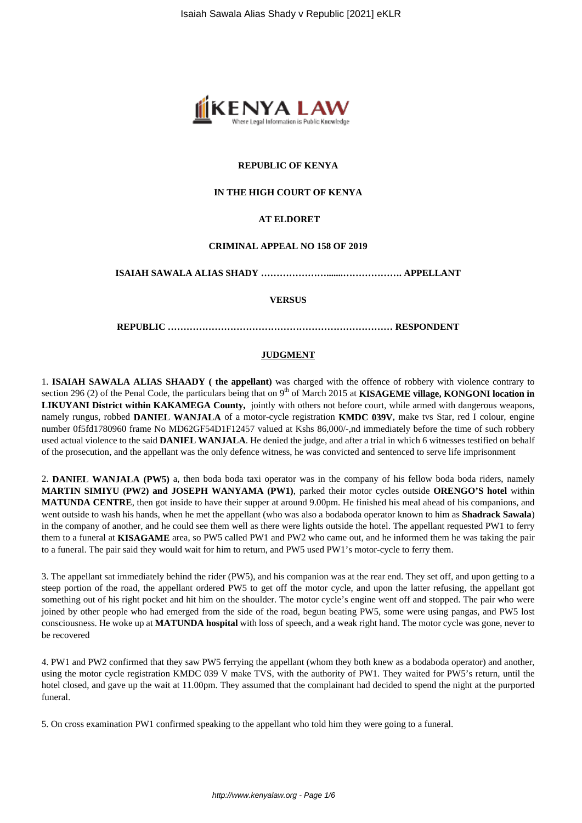

#### **REPUBLIC OF KENYA**

## **IN THE HIGH COURT OF KENYA**

#### **AT ELDORET**

#### **CRIMINAL APPEAL NO 158 OF 2019**

**ISAIAH SAWALA ALIAS SHADY ………………….......………………. APPELLANT**

#### **VERSUS**

**REPUBLIC ……………………………………………………………… RESPONDENT**

#### **JUDGMENT**

1. **ISAIAH SAWALA ALIAS SHAADY ( the appellant)** was charged with the offence of robbery with violence contrary to section 296 (2) of the Penal Code, the particulars being that on 9<sup>th</sup> of March 2015 at **KISAGEME village, KONGONI location in LIKUYANI District within KAKAMEGA County,** jointly with others not before court, while armed with dangerous weapons, namely rungus, robbed **DANIEL WANJALA** of a motor-cycle registration **KMDC 039V**, make tvs Star, red I colour, engine number 0f5fd1780960 frame No MD62GF54D1F12457 valued at Kshs 86,000/-,nd immediately before the time of such robbery used actual violence to the said **DANIEL WANJALA**. He denied the judge, and after a trial in which 6 witnesses testified on behalf of the prosecution, and the appellant was the only defence witness, he was convicted and sentenced to serve life imprisonment

2. **DANIEL WANJALA (PW5)** a, then boda boda taxi operator was in the company of his fellow boda boda riders, namely **MARTIN SIMIYU (PW2) and JOSEPH WANYAMA (PW1)**, parked their motor cycles outside **ORENGO'S hotel** within **MATUNDA CENTRE**, then got inside to have their supper at around 9.00pm. He finished his meal ahead of his companions, and went outside to wash his hands, when he met the appellant (who was also a bodaboda operator known to him as **Shadrack Sawala**) in the company of another, and he could see them well as there were lights outside the hotel. The appellant requested PW1 to ferry them to a funeral at **KISAGAME** area, so PW5 called PW1 and PW2 who came out, and he informed them he was taking the pair to a funeral. The pair said they would wait for him to return, and PW5 used PW1's motor-cycle to ferry them.

3. The appellant sat immediately behind the rider (PW5), and his companion was at the rear end. They set off, and upon getting to a steep portion of the road, the appellant ordered PW5 to get off the motor cycle, and upon the latter refusing, the appellant got something out of his right pocket and hit him on the shoulder. The motor cycle's engine went off and stopped. The pair who were joined by other people who had emerged from the side of the road, begun beating PW5, some were using pangas, and PW5 lost consciousness. He woke up at **MATUNDA hospital** with loss of speech, and a weak right hand. The motor cycle was gone, never to be recovered

4. PW1 and PW2 confirmed that they saw PW5 ferrying the appellant (whom they both knew as a bodaboda operator) and another, using the motor cycle registration KMDC 039 V make TVS, with the authority of PW1. They waited for PW5's return, until the hotel closed, and gave up the wait at 11.00pm. They assumed that the complainant had decided to spend the night at the purported funeral.

5. On cross examination PW1 confirmed speaking to the appellant who told him they were going to a funeral.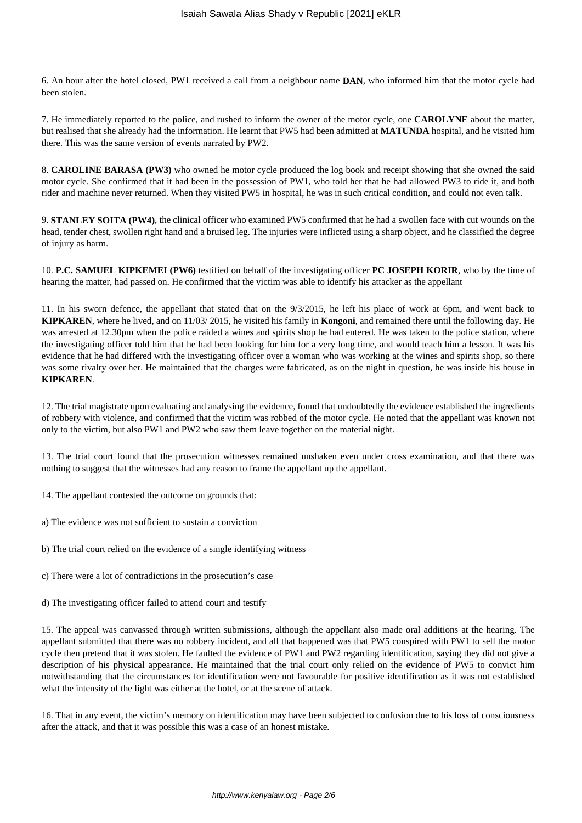6. An hour after the hotel closed, PW1 received a call from a neighbour name **DAN**, who informed him that the motor cycle had been stolen.

7. He immediately reported to the police, and rushed to inform the owner of the motor cycle, one **CAROLYNE** about the matter, but realised that she already had the information. He learnt that PW5 had been admitted at **MATUNDA** hospital, and he visited him there. This was the same version of events narrated by PW2.

8. **CAROLINE BARASA (PW3)** who owned he motor cycle produced the log book and receipt showing that she owned the said motor cycle. She confirmed that it had been in the possession of PW1, who told her that he had allowed PW3 to ride it, and both rider and machine never returned. When they visited PW5 in hospital, he was in such critical condition, and could not even talk.

9. **STANLEY SOITA (PW4)**, the clinical officer who examined PW5 confirmed that he had a swollen face with cut wounds on the head, tender chest, swollen right hand and a bruised leg. The injuries were inflicted using a sharp object, and he classified the degree of injury as harm.

10. **P.C. SAMUEL KIPKEMEI (PW6)** testified on behalf of the investigating officer **PC JOSEPH KORIR**, who by the time of hearing the matter, had passed on. He confirmed that the victim was able to identify his attacker as the appellant

11. In his sworn defence, the appellant that stated that on the 9/3/2015, he left his place of work at 6pm, and went back to **KIPKAREN**, where he lived, and on 11/03/ 2015, he visited his family in **Kongoni**, and remained there until the following day. He was arrested at 12.30pm when the police raided a wines and spirits shop he had entered. He was taken to the police station, where the investigating officer told him that he had been looking for him for a very long time, and would teach him a lesson. It was his evidence that he had differed with the investigating officer over a woman who was working at the wines and spirits shop, so there was some rivalry over her. He maintained that the charges were fabricated, as on the night in question, he was inside his house in **KIPKAREN**.

12. The trial magistrate upon evaluating and analysing the evidence, found that undoubtedly the evidence established the ingredients of robbery with violence, and confirmed that the victim was robbed of the motor cycle. He noted that the appellant was known not only to the victim, but also PW1 and PW2 who saw them leave together on the material night.

13. The trial court found that the prosecution witnesses remained unshaken even under cross examination, and that there was nothing to suggest that the witnesses had any reason to frame the appellant up the appellant.

14. The appellant contested the outcome on grounds that:

a) The evidence was not sufficient to sustain a conviction

b) The trial court relied on the evidence of a single identifying witness

c) There were a lot of contradictions in the prosecution's case

d) The investigating officer failed to attend court and testify

15. The appeal was canvassed through written submissions, although the appellant also made oral additions at the hearing. The appellant submitted that there was no robbery incident, and all that happened was that PW5 conspired with PW1 to sell the motor cycle then pretend that it was stolen. He faulted the evidence of PW1 and PW2 regarding identification, saying they did not give a description of his physical appearance. He maintained that the trial court only relied on the evidence of PW5 to convict him notwithstanding that the circumstances for identification were not favourable for positive identification as it was not established what the intensity of the light was either at the hotel, or at the scene of attack.

16. That in any event, the victim's memory on identification may have been subjected to confusion due to his loss of consciousness after the attack, and that it was possible this was a case of an honest mistake.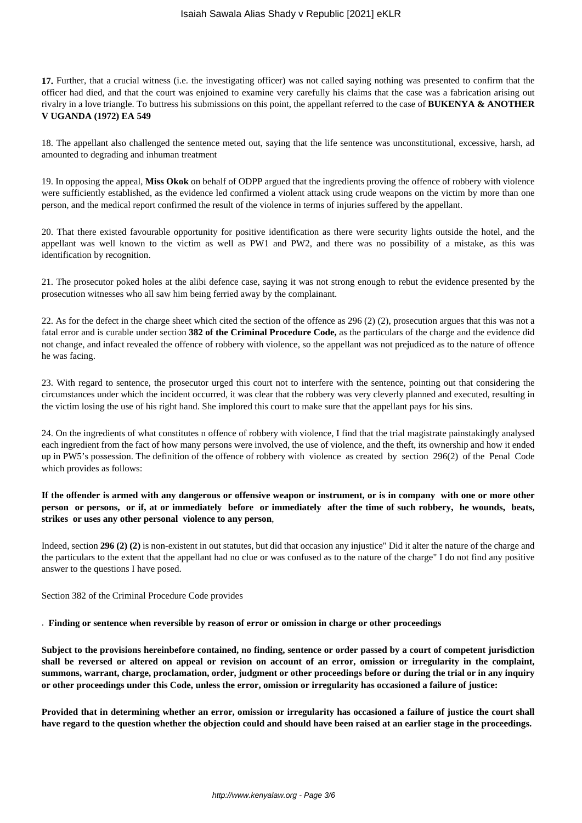**17.** Further, that a crucial witness (i.e. the investigating officer) was not called saying nothing was presented to confirm that the officer had died, and that the court was enjoined to examine very carefully his claims that the case was a fabrication arising out rivalry in a love triangle. To buttress his submissions on this point, the appellant referred to the case of **BUKENYA & ANOTHER V UGANDA (1972) EA 549** 

18. The appellant also challenged the sentence meted out, saying that the life sentence was unconstitutional, excessive, harsh, ad amounted to degrading and inhuman treatment

19. In opposing the appeal, **Miss Okok** on behalf of ODPP argued that the ingredients proving the offence of robbery with violence were sufficiently established, as the evidence led confirmed a violent attack using crude weapons on the victim by more than one person, and the medical report confirmed the result of the violence in terms of injuries suffered by the appellant.

20. That there existed favourable opportunity for positive identification as there were security lights outside the hotel, and the appellant was well known to the victim as well as PW1 and PW2, and there was no possibility of a mistake, as this was identification by recognition.

21. The prosecutor poked holes at the alibi defence case, saying it was not strong enough to rebut the evidence presented by the prosecution witnesses who all saw him being ferried away by the complainant.

22. As for the defect in the charge sheet which cited the section of the offence as 296 (2) (2), prosecution argues that this was not a fatal error and is curable under section **382 of the Criminal Procedure Code,** as the particulars of the charge and the evidence did not change, and infact revealed the offence of robbery with violence, so the appellant was not prejudiced as to the nature of offence he was facing.

23. With regard to sentence, the prosecutor urged this court not to interfere with the sentence, pointing out that considering the circumstances under which the incident occurred, it was clear that the robbery was very cleverly planned and executed, resulting in the victim losing the use of his right hand. She implored this court to make sure that the appellant pays for his sins.

24. On the ingredients of what constitutes n offence of robbery with violence, I find that the trial magistrate painstakingly analysed each ingredient from the fact of how many persons were involved, the use of violence, and the theft, its ownership and how it ended up in PW5's possession. The definition of the offence of robbery with violence as created by section 296(2) of the Penal Code which provides as follows:

## **If the offender is armed with any dangerous or offensive weapon or instrument, or is in company with one or more other person or persons, or if, at or immediately before or immediately after the time of such robbery, he wounds, beats, strikes or uses any other personal violence to any person**,

Indeed, section **296 (2) (2)** is non-existent in out statutes, but did that occasion any injustice" Did it alter the nature of the charge and the particulars to the extent that the appellant had no clue or was confused as to the nature of the charge" I do not find any positive answer to the questions I have posed.

Section 382 of the Criminal Procedure Code provides

. **Finding or sentence when reversible by reason of error or omission in charge or other proceedings**

**Subject to the provisions hereinbefore contained, no finding, sentence or order passed by a court of competent jurisdiction shall be reversed or altered on appeal or revision on account of an error, omission or irregularity in the complaint, summons, warrant, charge, proclamation, order, judgment or other proceedings before or during the trial or in any inquiry or other proceedings under this Code, unless the error, omission or irregularity has occasioned a failure of justice:**

**Provided that in determining whether an error, omission or irregularity has occasioned a failure of justice the court shall have regard to the question whether the objection could and should have been raised at an earlier stage in the proceedings.**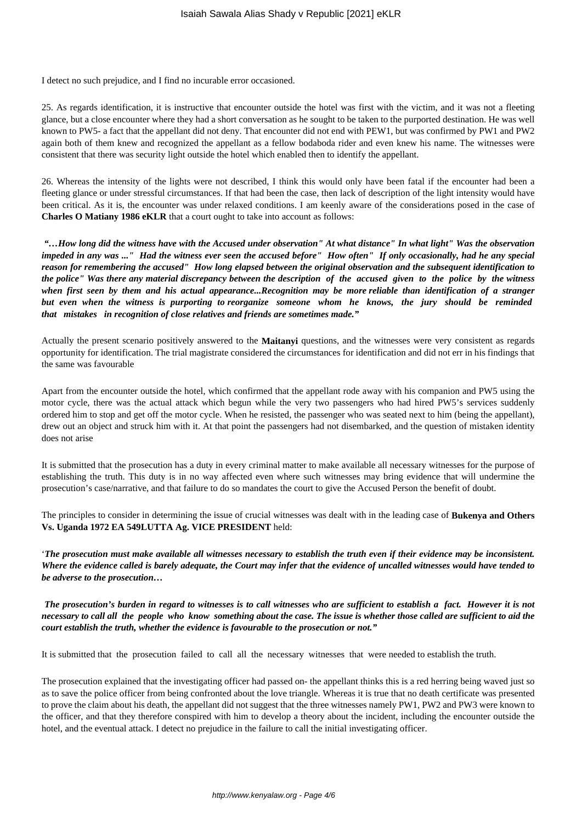I detect no such prejudice, and I find no incurable error occasioned.

25. As regards identification, it is instructive that encounter outside the hotel was first with the victim, and it was not a fleeting glance, but a close encounter where they had a short conversation as he sought to be taken to the purported destination. He was well known to PW5- a fact that the appellant did not deny. That encounter did not end with PEW1, but was confirmed by PW1 and PW2 again both of them knew and recognized the appellant as a fellow bodaboda rider and even knew his name. The witnesses were consistent that there was security light outside the hotel which enabled then to identify the appellant.

26. Whereas the intensity of the lights were not described, I think this would only have been fatal if the encounter had been a fleeting glance or under stressful circumstances. If that had been the case, then lack of description of the light intensity would have been critical. As it is, the encounter was under relaxed conditions. I am keenly aware of the considerations posed in the case of **Charles O Matiany 1986 eKLR** that a court ought to take into account as follows:

*"…How long did the witness have with the Accused under observation" At what distance" In what light" Was the observation impeded in any was ..." Had the witness ever seen the accused before" How often" If only occasionally, had he any special reason for remembering the accused" How long elapsed between the original observation and the subsequent identification to the police" Was there any material discrepancy between the description of the accused given to the police by the witness when first seen by them and his actual appearance...Recognition may be more reliable than identification of a stranger but even when the witness is purporting to reorganize someone whom he knows, the jury should be reminded that mistakes in recognition of close relatives and friends are sometimes made."*

Actually the present scenario positively answered to the **Maitanyi** questions, and the witnesses were very consistent as regards opportunity for identification. The trial magistrate considered the circumstances for identification and did not err in his findings that the same was favourable

Apart from the encounter outside the hotel, which confirmed that the appellant rode away with his companion and PW5 using the motor cycle, there was the actual attack which begun while the very two passengers who had hired PW5's services suddenly ordered him to stop and get off the motor cycle. When he resisted, the passenger who was seated next to him (being the appellant), drew out an object and struck him with it. At that point the passengers had not disembarked, and the question of mistaken identity does not arise

It is submitted that the prosecution has a duty in every criminal matter to make available all necessary witnesses for the purpose of establishing the truth. This duty is in no way affected even where such witnesses may bring evidence that will undermine the prosecution's case/narrative, and that failure to do so mandates the court to give the Accused Person the benefit of doubt.

The principles to consider in determining the issue of crucial witnesses was dealt with in the leading case of **Bukenya and Others Vs. Uganda 1972 EA 549LUTTA Ag. VICE PRESIDENT** held:

'*The prosecution must make available all witnesses necessary to establish the truth even if their evidence may be inconsistent. Where the evidence called is barely adequate, the Court may infer that the evidence of uncalled witnesses would have tended to be adverse to the prosecution…*

*The prosecution's burden in regard to witnesses is to call witnesses who are sufficient to establish a fact. However it is not necessary to call all the people who know something about the case. The issue is whether those called are sufficient to aid the court establish the truth, whether the evidence is favourable to the prosecution or not."*

It is submitted that the prosecution failed to call all the necessary witnesses that were needed to establish the truth.

The prosecution explained that the investigating officer had passed on- the appellant thinks this is a red herring being waved just so as to save the police officer from being confronted about the love triangle. Whereas it is true that no death certificate was presented to prove the claim about his death, the appellant did not suggest that the three witnesses namely PW1, PW2 and PW3 were known to the officer, and that they therefore conspired with him to develop a theory about the incident, including the encounter outside the hotel, and the eventual attack. I detect no prejudice in the failure to call the initial investigating officer.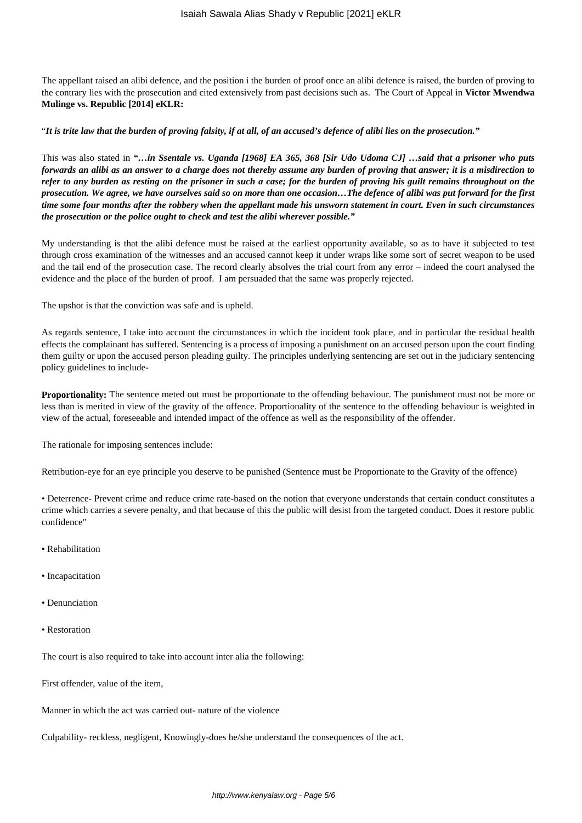The appellant raised an alibi defence, and the position i the burden of proof once an alibi defence is raised, the burden of proving to the contrary lies with the prosecution and cited extensively from past decisions such as. The Court of Appeal in **Victor Mwendwa Mulinge vs. Republic [2014] eKLR:**

#### "*It is trite law that the burden of proving falsity, if at all, of an accused's defence of alibi lies on the prosecution."*

This was also stated in *"…in Ssentale vs. Uganda [1968] EA 365, 368 [Sir Udo Udoma CJ] …said that a prisoner who puts forwards an alibi as an answer to a charge does not thereby assume any burden of proving that answer; it is a misdirection to refer to any burden as resting on the prisoner in such a case; for the burden of proving his guilt remains throughout on the prosecution. We agree, we have ourselves said so on more than one occasion…The defence of alibi was put forward for the first time some four months after the robbery when the appellant made his unsworn statement in court. Even in such circumstances the prosecution or the police ought to check and test the alibi wherever possible."*

My understanding is that the alibi defence must be raised at the earliest opportunity available, so as to have it subjected to test through cross examination of the witnesses and an accused cannot keep it under wraps like some sort of secret weapon to be used and the tail end of the prosecution case. The record clearly absolves the trial court from any error – indeed the court analysed the evidence and the place of the burden of proof. I am persuaded that the same was properly rejected.

The upshot is that the conviction was safe and is upheld.

As regards sentence, I take into account the circumstances in which the incident took place, and in particular the residual health effects the complainant has suffered. Sentencing is a process of imposing a punishment on an accused person upon the court finding them guilty or upon the accused person pleading guilty. The principles underlying sentencing are set out in the judiciary sentencing policy guidelines to include-

**Proportionality:** The sentence meted out must be proportionate to the offending behaviour. The punishment must not be more or less than is merited in view of the gravity of the offence. Proportionality of the sentence to the offending behaviour is weighted in view of the actual, foreseeable and intended impact of the offence as well as the responsibility of the offender.

The rationale for imposing sentences include:

Retribution-eye for an eye principle you deserve to be punished (Sentence must be Proportionate to the Gravity of the offence)

• Deterrence- Prevent crime and reduce crime rate-based on the notion that everyone understands that certain conduct constitutes a crime which carries a severe penalty, and that because of this the public will desist from the targeted conduct. Does it restore public confidence"

- Rehabilitation
- Incapacitation
- Denunciation
- Restoration

The court is also required to take into account inter alia the following:

First offender, value of the item,

Manner in which the act was carried out- nature of the violence

Culpability- reckless, negligent, Knowingly-does he/she understand the consequences of the act.